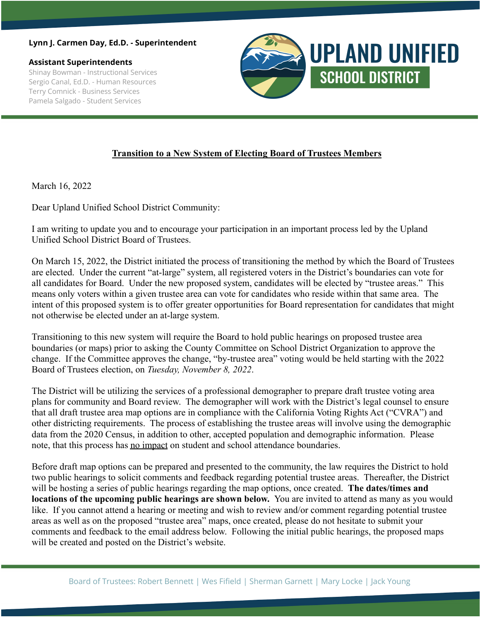### **Lynn J. Carmen Day, Ed.D. - Superintendent**

**Assistant Superintendents** Shinay Bowman - Instructional Services Sergio Canal, Ed.D. - Human Resources Terry Comnick - Business Services Pamela Salgado - Student Services



# **Transition to a New System of Electing Board of Trustees Members**

March 16, 2022

Dear Upland Unified School District Community:

I am writing to update you and to encourage your participation in an important process led by the Upland Unified School District Board of Trustees.

On March 15, 2022, the District initiated the process of transitioning the method by which the Board of Trustees are elected. Under the current "at-large" system, all registered voters in the District's boundaries can vote for all candidates for Board. Under the new proposed system, candidates will be elected by "trustee areas." This means only voters within a given trustee area can vote for candidates who reside within that same area. The intent of this proposed system is to offer greater opportunities for Board representation for candidates that might not otherwise be elected under an at-large system.

Transitioning to this new system will require the Board to hold public hearings on proposed trustee area boundaries (or maps) prior to asking the County Committee on School District Organization to approve the change. If the Committee approves the change, "by-trustee area" voting would be held starting with the 2022 Board of Trustees election, on *Tuesday, November 8, 2022*.

The District will be utilizing the services of a professional demographer to prepare draft trustee voting area plans for community and Board review. The demographer will work with the District's legal counsel to ensure that all draft trustee area map options are in compliance with the California Voting Rights Act ("CVRA") and other districting requirements. The process of establishing the trustee areas will involve using the demographic data from the 2020 Census, in addition to other, accepted population and demographic information. Please note, that this process has no impact on student and school attendance boundaries.

Before draft map options can be prepared and presented to the community, the law requires the District to hold two public hearings to solicit comments and feedback regarding potential trustee areas. Thereafter, the District will be hosting a series of public hearings regarding the map options, once created. **The dates/times and locations of the upcoming public hearings are shown below.** You are invited to attend as many as you would like. If you cannot attend a hearing or meeting and wish to review and/or comment regarding potential trustee areas as well as on the proposed "trustee area" maps, once created, please do not hesitate to submit your comments and feedback to the email address below. Following the initial public hearings, the proposed maps will be created and posted on the District's website.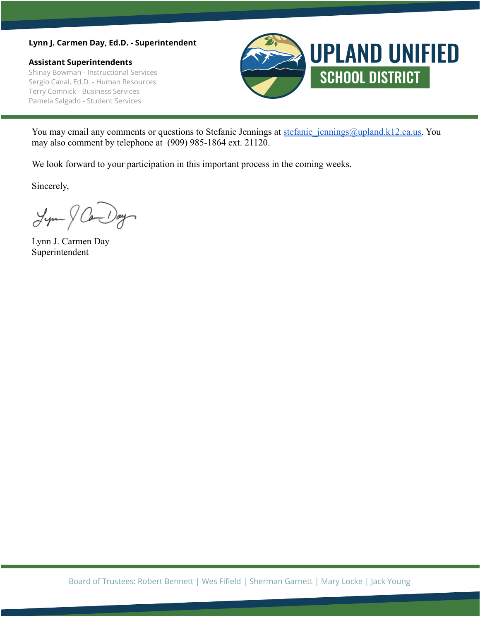### **Lynn J. Carmen Day, Ed.D. - Superintendent**

**Assistant Superintendents** Shinay Bowman - Instructional Services Sergio Canal, Ed.D. - Human Resources Terry Comnick - Business Services Pamela Salgado - Student Services



You may email any comments or questions to Stefanie Jennings at stefanie jennings@upland.k12.ca.us. You may also comment by telephone at (909) 985-1864 ext. 21120.

We look forward to your participation in this important process in the coming weeks.

Sincerely,

Jym & Cam Day

Lynn J. Carmen Day Superintendent